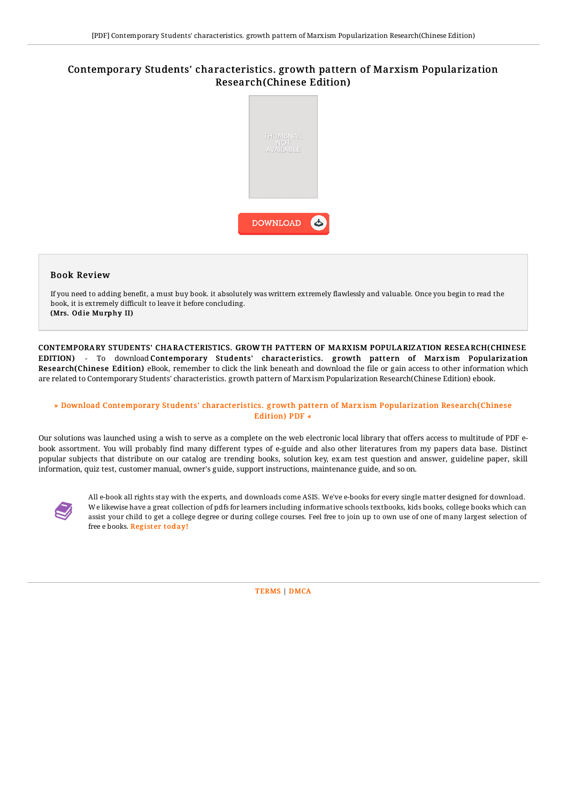# Contemporary Students' characteristics. growth pattern of Marxism Popularization Research(Chinese Edition)



## Book Review

If you need to adding benefit, a must buy book. it absolutely was writtern extremely flawlessly and valuable. Once you begin to read the book, it is extremely difficult to leave it before concluding. (Mrs. Odie Murphy II)

CONTEMPORARY STUDENTS' CHARACTERISTICS. GROW TH PATTERN OF MARXISM POPULARIZATION RESEARCH(CHINESE EDITION) - To download Contemporary Students' characteristics. growth pattern of Marxism Popularization Research(Chinese Edition) eBook, remember to click the link beneath and download the file or gain access to other information which are related to Contemporary Students' characteristics. growth pattern of Marxism Popularization Research(Chinese Edition) ebook.

### » Download Contemporary Students' characteristics. growth pattern of Marxism Popularization [Research\(Chinese](http://albedo.media/contemporary-students-x27-characteristics-growth.html) Edition) PDF «

Our solutions was launched using a wish to serve as a complete on the web electronic local library that offers access to multitude of PDF ebook assortment. You will probably find many different types of e-guide and also other literatures from my papers data base. Distinct popular subjects that distribute on our catalog are trending books, solution key, exam test question and answer, guideline paper, skill information, quiz test, customer manual, owner's guide, support instructions, maintenance guide, and so on.



All e-book all rights stay with the experts, and downloads come ASIS. We've e-books for every single matter designed for download. We likewise have a great collection of pdfs for learners including informative schools textbooks, kids books, college books which can assist your child to get a college degree or during college courses. Feel free to join up to own use of one of many largest selection of free e books. [Regist](http://albedo.media/contemporary-students-x27-characteristics-growth.html)er today!